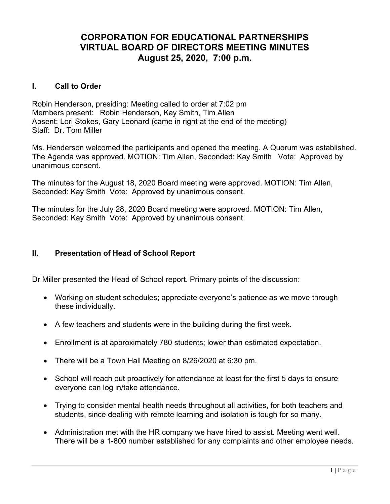# CORPORATION FOR EDUCATIONAL PARTNERSHIPS VIRTUAL BOARD OF DIRECTORS MEETING MINUTES August 25, 2020, 7:00 p.m.

## I. Call to Order

Robin Henderson, presiding: Meeting called to order at 7:02 pm Members present: Robin Henderson, Kay Smith, Tim Allen Absent: Lori Stokes, Gary Leonard (came in right at the end of the meeting) Staff: Dr. Tom Miller

Ms. Henderson welcomed the participants and opened the meeting. A Quorum was established. The Agenda was approved. MOTION: Tim Allen, Seconded: Kay Smith Vote: Approved by unanimous consent.

The minutes for the August 18, 2020 Board meeting were approved. MOTION: Tim Allen, Seconded: Kay Smith Vote: Approved by unanimous consent.

The minutes for the July 28, 2020 Board meeting were approved. MOTION: Tim Allen, Seconded: Kay Smith Vote: Approved by unanimous consent.

### II. Presentation of Head of School Report

Dr Miller presented the Head of School report. Primary points of the discussion:

- Working on student schedules; appreciate everyone's patience as we move through these individually.
- A few teachers and students were in the building during the first week.
- Enrollment is at approximately 780 students; lower than estimated expectation.
- There will be a Town Hall Meeting on 8/26/2020 at 6:30 pm.
- School will reach out proactively for attendance at least for the first 5 days to ensure everyone can log in/take attendance.
- Trying to consider mental health needs throughout all activities, for both teachers and students, since dealing with remote learning and isolation is tough for so many.
- Administration met with the HR company we have hired to assist. Meeting went well. There will be a 1-800 number established for any complaints and other employee needs.